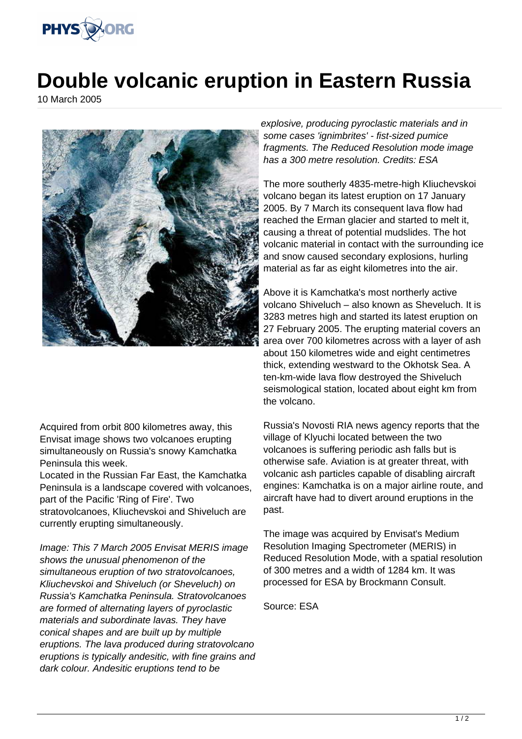

## **Double volcanic eruption in Eastern Russia**

10 March 2005



Acquired from orbit 800 kilometres away, this Envisat image shows two volcanoes erupting simultaneously on Russia's snowy Kamchatka Peninsula this week.

Located in the Russian Far East, the Kamchatka Peninsula is a landscape covered with volcanoes, part of the Pacific 'Ring of Fire'. Two stratovolcanoes, Kliuchevskoi and Shiveluch are currently erupting simultaneously.

Image: This 7 March 2005 Envisat MERIS image shows the unusual phenomenon of the simultaneous eruption of two stratovolcanoes, Kliuchevskoi and Shiveluch (or Sheveluch) on Russia's Kamchatka Peninsula. Stratovolcanoes are formed of alternating layers of pyroclastic materials and subordinate lavas. They have conical shapes and are built up by multiple eruptions. The lava produced during stratovolcano eruptions is typically andesitic, with fine grains and dark colour. Andesitic eruptions tend to be

explosive, producing pyroclastic materials and in some cases 'ignimbrites' - fist-sized pumice fragments. The Reduced Resolution mode image has a 300 metre resolution. Credits: ESA

The more southerly 4835-metre-high Kliuchevskoi volcano began its latest eruption on 17 January 2005. By 7 March its consequent lava flow had reached the Erman glacier and started to melt it, causing a threat of potential mudslides. The hot volcanic material in contact with the surrounding ice and snow caused secondary explosions, hurling material as far as eight kilometres into the air.

Above it is Kamchatka's most northerly active volcano Shiveluch – also known as Sheveluch. It is 3283 metres high and started its latest eruption on 27 February 2005. The erupting material covers an area over 700 kilometres across with a layer of ash about 150 kilometres wide and eight centimetres thick, extending westward to the Okhotsk Sea. A ten-km-wide lava flow destroyed the Shiveluch seismological station, located about eight km from the volcano.

Russia's Novosti RIA news agency reports that the village of Klyuchi located between the two volcanoes is suffering periodic ash falls but is otherwise safe. Aviation is at greater threat, with volcanic ash particles capable of disabling aircraft engines: Kamchatka is on a major airline route, and aircraft have had to divert around eruptions in the past.

The image was acquired by Envisat's Medium Resolution Imaging Spectrometer (MERIS) in Reduced Resolution Mode, with a spatial resolution of 300 metres and a width of 1284 km. It was processed for ESA by Brockmann Consult.

Source: ESA